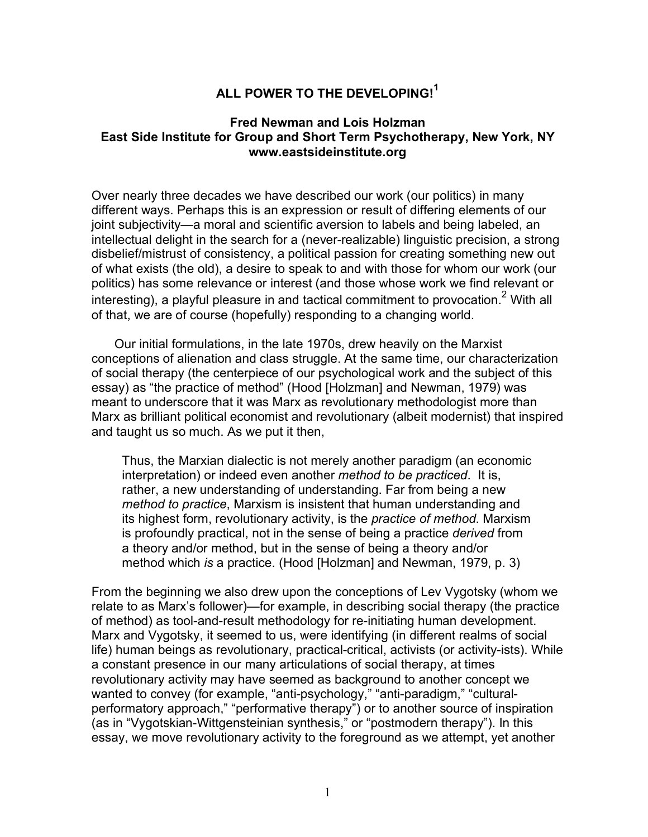# **ALL POWER TO THE DEVELOPING!<sup>1</sup>**

## **Fred Newman and Lois Holzman East Side Institute for Group and Short Term Psychotherapy, New York, NY www.eastsideinstitute.org**

Over nearly three decades we have described our work (our politics) in many different ways. Perhaps this is an expression or result of differing elements of our joint subjectivity—a moral and scientific aversion to labels and being labeled, an intellectual delight in the search for a (never-realizable) linguistic precision, a strong disbelief/mistrust of consistency, a political passion for creating something new out of what exists (the old), a desire to speak to and with those for whom our work (our politics) has some relevance or interest (and those whose work we find relevant or interesting), a playful pleasure in and tactical commitment to provocation.<sup>2</sup> With all of that, we are of course (hopefully) responding to a changing world.

Our initial formulations, in the late 1970s, drew heavily on the Marxist conceptions of alienation and class struggle. At the same time, our characterization of social therapy (the centerpiece of our psychological work and the subject of this essay) as "the practice of method" (Hood [Holzman] and Newman, 1979) was meant to underscore that it was Marx as revolutionary methodologist more than Marx as brilliant political economist and revolutionary (albeit modernist) that inspired and taught us so much. As we put it then,

Thus, the Marxian dialectic is not merely another paradigm (an economic interpretation) or indeed even another *method to be practiced*. It is, rather, a new understanding of understanding. Far from being a new *method to practice*, Marxism is insistent that human understanding and its highest form, revolutionary activity, is the *practice of method*. Marxism is profoundly practical, not in the sense of being a practice *derived* from a theory and/or method, but in the sense of being a theory and/or method which *is* a practice. (Hood [Holzman] and Newman, 1979, p. 3)

From the beginning we also drew upon the conceptions of Lev Vygotsky (whom we relate to as Marx's follower)—for example, in describing social therapy (the practice of method) as tool-and-result methodology for re-initiating human development. Marx and Vygotsky, it seemed to us, were identifying (in different realms of social life) human beings as revolutionary, practical-critical, activists (or activity-ists). While a constant presence in our many articulations of social therapy, at times revolutionary activity may have seemed as background to another concept we wanted to convey (for example, "anti-psychology," "anti-paradigm," "culturalperformatory approach," "performative therapy") or to another source of inspiration (as in "Vygotskian-Wittgensteinian synthesis," or "postmodern therapy"). In this essay, we move revolutionary activity to the foreground as we attempt, yet another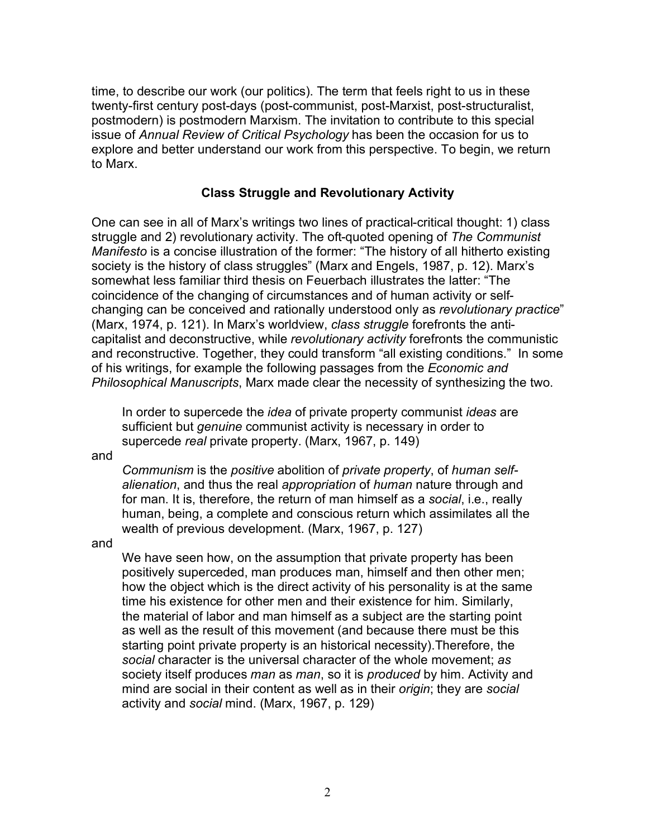time, to describe our work (our politics). The term that feels right to us in these twenty-first century post-days (post-communist, post-Marxist, post-structuralist, postmodern) is postmodern Marxism. The invitation to contribute to this special issue of *Annual Review of Critical Psychology* has been the occasion for us to explore and better understand our work from this perspective. To begin, we return to Marx.

#### **Class Struggle and Revolutionary Activity**

One can see in all of Marx's writings two lines of practical-critical thought: 1) class struggle and 2) revolutionary activity. The oft-quoted opening of *The Communist Manifesto* is a concise illustration of the former: "The history of all hitherto existing society is the history of class struggles" (Marx and Engels, 1987, p. 12). Marx's somewhat less familiar third thesis on Feuerbach illustrates the latter: "The coincidence of the changing of circumstances and of human activity or selfchanging can be conceived and rationally understood only as *revolutionary practice*" (Marx, 1974, p. 121). In Marx's worldview, *class struggle* forefronts the anticapitalist and deconstructive, while *revolutionary activity* forefronts the communistic and reconstructive. Together, they could transform "all existing conditions." In some of his writings, for example the following passages from the *Economic and Philosophical Manuscripts*, Marx made clear the necessity of synthesizing the two.

In order to supercede the *idea* of private property communist *ideas* are sufficient but *genuine* communist activity is necessary in order to supercede *real* private property. (Marx, 1967, p. 149)

and

*Communism* is the *positive* abolition of *private property*, of *human selfalienation*, and thus the real *appropriation* of *human* nature through and for man. It is, therefore, the return of man himself as a *social*, i.e., really human, being, a complete and conscious return which assimilates all the wealth of previous development. (Marx, 1967, p. 127)

and

We have seen how, on the assumption that private property has been positively superceded, man produces man, himself and then other men; how the object which is the direct activity of his personality is at the same time his existence for other men and their existence for him. Similarly, the material of labor and man himself as a subject are the starting point as well as the result of this movement (and because there must be this starting point private property is an historical necessity).Therefore, the *social* character is the universal character of the whole movement; *as* society itself produces *man* as *man*, so it is *produced* by him. Activity and mind are social in their content as well as in their *origin*; they are *social* activity and *social* mind. (Marx, 1967, p. 129)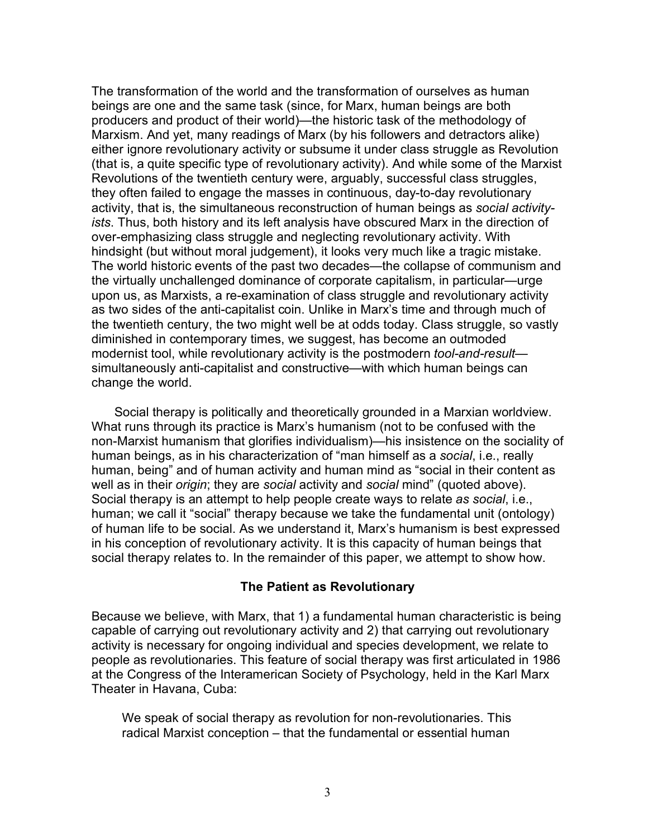The transformation of the world and the transformation of ourselves as human beings are one and the same task (since, for Marx, human beings are both producers and product of their world)—the historic task of the methodology of Marxism. And yet, many readings of Marx (by his followers and detractors alike) either ignore revolutionary activity or subsume it under class struggle as Revolution (that is, a quite specific type of revolutionary activity). And while some of the Marxist Revolutions of the twentieth century were, arguably, successful class struggles, they often failed to engage the masses in continuous, day-to-day revolutionary activity, that is, the simultaneous reconstruction of human beings as *social activityists*. Thus, both history and its left analysis have obscured Marx in the direction of over-emphasizing class struggle and neglecting revolutionary activity. With hindsight (but without moral judgement), it looks very much like a tragic mistake. The world historic events of the past two decades—the collapse of communism and the virtually unchallenged dominance of corporate capitalism, in particular—urge upon us, as Marxists, a re-examination of class struggle and revolutionary activity as two sides of the anti-capitalist coin. Unlike in Marx's time and through much of the twentieth century, the two might well be at odds today. Class struggle, so vastly diminished in contemporary times, we suggest, has become an outmoded modernist tool, while revolutionary activity is the postmodern *tool-and-result* simultaneously anti-capitalist and constructive—with which human beings can change the world.

Social therapy is politically and theoretically grounded in a Marxian worldview. What runs through its practice is Marx's humanism (not to be confused with the non-Marxist humanism that glorifies individualism)—his insistence on the sociality of human beings, as in his characterization of "man himself as a *social*, i.e., really human, being" and of human activity and human mind as "social in their content as well as in their *origin*; they are *social* activity and *social* mind" (quoted above). Social therapy is an attempt to help people create ways to relate *as social*, i.e., human; we call it "social" therapy because we take the fundamental unit (ontology) of human life to be social. As we understand it, Marx's humanism is best expressed in his conception of revolutionary activity. It is this capacity of human beings that social therapy relates to. In the remainder of this paper, we attempt to show how.

## **The Patient as Revolutionary**

Because we believe, with Marx, that 1) a fundamental human characteristic is being capable of carrying out revolutionary activity and 2) that carrying out revolutionary activity is necessary for ongoing individual and species development, we relate to people as revolutionaries. This feature of social therapy was first articulated in 1986 at the Congress of the Interamerican Society of Psychology, held in the Karl Marx Theater in Havana, Cuba:

We speak of social therapy as revolution for non-revolutionaries. This radical Marxist conception – that the fundamental or essential human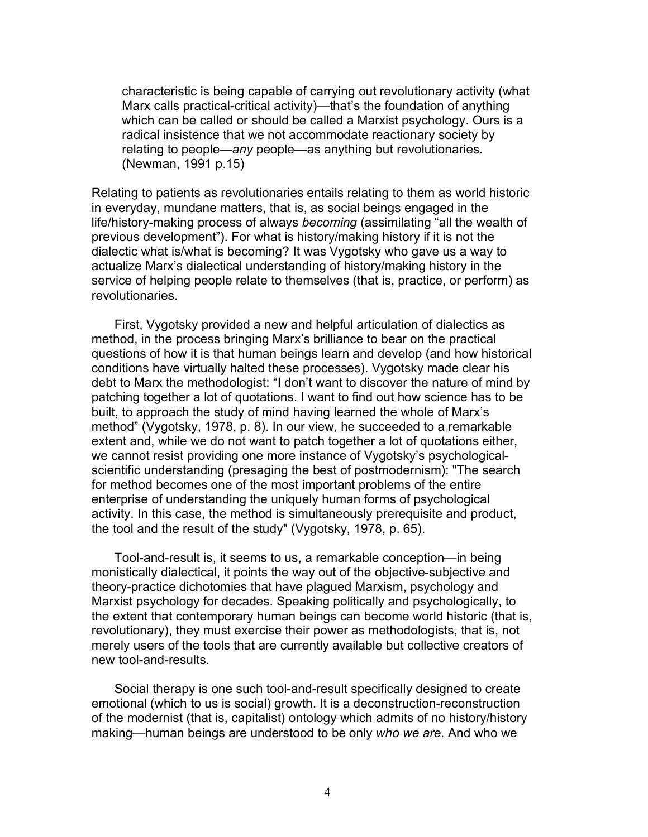characteristic is being capable of carrying out revolutionary activity (what Marx calls practical-critical activity)—that's the foundation of anything which can be called or should be called a Marxist psychology. Ours is a radical insistence that we not accommodate reactionary society by relating to people—*any* people—as anything but revolutionaries. (Newman, 1991 p.15)

Relating to patients as revolutionaries entails relating to them as world historic in everyday, mundane matters, that is, as social beings engaged in the life/history-making process of always *becoming* (assimilating "all the wealth of previous development"). For what is history/making history if it is not the dialectic what is/what is becoming? It was Vygotsky who gave us a way to actualize Marx's dialectical understanding of history/making history in the service of helping people relate to themselves (that is, practice, or perform) as revolutionaries.

First, Vygotsky provided a new and helpful articulation of dialectics as method, in the process bringing Marx's brilliance to bear on the practical questions of how it is that human beings learn and develop (and how historical conditions have virtually halted these processes). Vygotsky made clear his debt to Marx the methodologist: "I don't want to discover the nature of mind by patching together a lot of quotations. I want to find out how science has to be built, to approach the study of mind having learned the whole of Marx's method" (Vygotsky, 1978, p. 8). In our view, he succeeded to a remarkable extent and, while we do not want to patch together a lot of quotations either, we cannot resist providing one more instance of Vygotsky's psychologicalscientific understanding (presaging the best of postmodernism): "The search for method becomes one of the most important problems of the entire enterprise of understanding the uniquely human forms of psychological activity. In this case, the method is simultaneously prerequisite and product, the tool and the result of the study" (Vygotsky, 1978, p. 65).

Tool-and-result is, it seems to us, a remarkable conception—in being monistically dialectical, it points the way out of the objective-subjective and theory-practice dichotomies that have plagued Marxism, psychology and Marxist psychology for decades. Speaking politically and psychologically, to the extent that contemporary human beings can become world historic (that is, revolutionary), they must exercise their power as methodologists, that is, not merely users of the tools that are currently available but collective creators of new tool-and-results.

Social therapy is one such tool-and-result specifically designed to create emotional (which to us is social) growth. It is a deconstruction-reconstruction of the modernist (that is, capitalist) ontology which admits of no history/history making—human beings are understood to be only *who we are.* And who we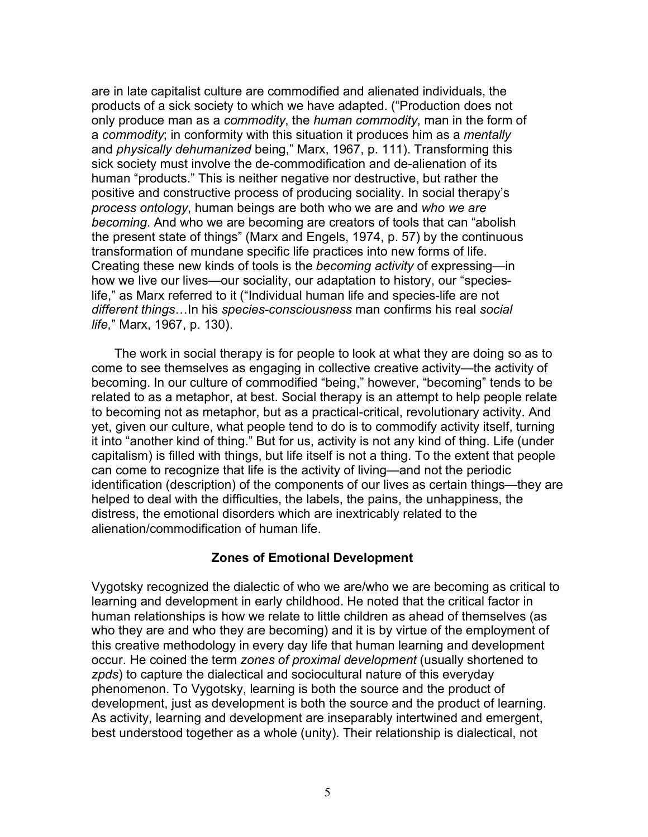are in late capitalist culture are commodified and alienated individuals, the products of a sick society to which we have adapted. ("Production does not only produce man as a *commodity*, the *human commodity*, man in the form of a *commodity*; in conformity with this situation it produces him as a *mentally* and *physically dehumanized* being," Marx, 1967, p. 111). Transforming this sick society must involve the de-commodification and de-alienation of its human "products." This is neither negative nor destructive, but rather the positive and constructive process of producing sociality. In social therapy's *process ontology*, human beings are both who we are and *who we are becoming*. And who we are becoming are creators of tools that can "abolish the present state of things" (Marx and Engels, 1974, p. 57) by the continuous transformation of mundane specific life practices into new forms of life. Creating these new kinds of tools is the *becoming activity* of expressing—in how we live our lives—our sociality, our adaptation to history, our "specieslife," as Marx referred to it ("Individual human life and species-life are not *different things*…In his *species-consciousness* man confirms his real *social life,*" Marx, 1967, p. 130).

The work in social therapy is for people to look at what they are doing so as to come to see themselves as engaging in collective creative activity—the activity of becoming. In our culture of commodified "being," however, "becoming" tends to be related to as a metaphor, at best. Social therapy is an attempt to help people relate to becoming not as metaphor, but as a practical-critical, revolutionary activity. And yet, given our culture, what people tend to do is to commodify activity itself, turning it into "another kind of thing." But for us, activity is not any kind of thing. Life (under capitalism) is filled with things, but life itself is not a thing. To the extent that people can come to recognize that life is the activity of living—and not the periodic identification (description) of the components of our lives as certain things—they are helped to deal with the difficulties, the labels, the pains, the unhappiness, the distress, the emotional disorders which are inextricably related to the alienation/commodification of human life.

## **Zones of Emotional Development**

Vygotsky recognized the dialectic of who we are/who we are becoming as critical to learning and development in early childhood. He noted that the critical factor in human relationships is how we relate to little children as ahead of themselves (as who they are and who they are becoming) and it is by virtue of the employment of this creative methodology in every day life that human learning and development occur. He coined the term *zones of proximal development* (usually shortened to *zpds*) to capture the dialectical and sociocultural nature of this everyday phenomenon. To Vygotsky, learning is both the source and the product of development, just as development is both the source and the product of learning. As activity, learning and development are inseparably intertwined and emergent, best understood together as a whole (unity). Their relationship is dialectical, not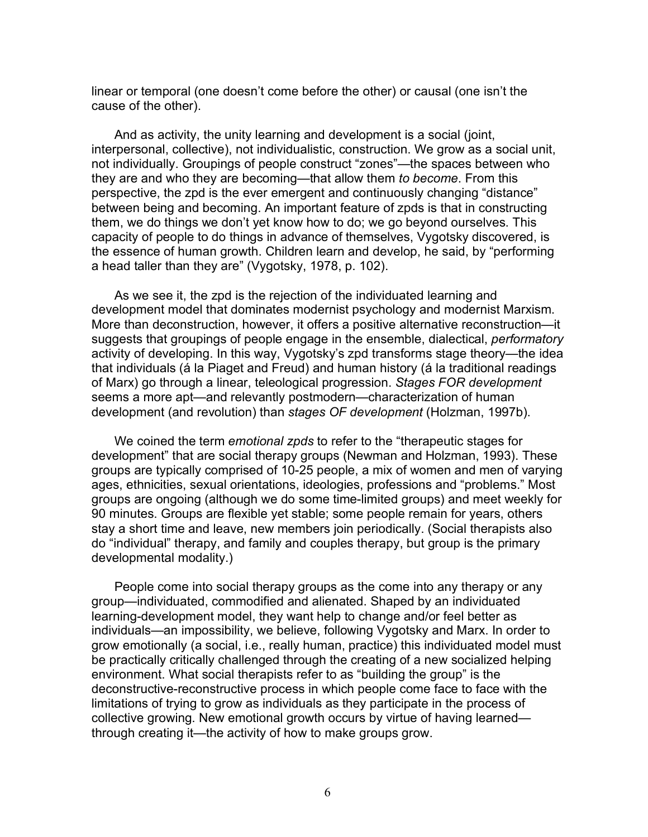linear or temporal (one doesn't come before the other) or causal (one isn't the cause of the other).

And as activity, the unity learning and development is a social (joint, interpersonal, collective), not individualistic, construction. We grow as a social unit, not individually. Groupings of people construct "zones"—the spaces between who they are and who they are becoming—that allow them *to become*. From this perspective, the zpd is the ever emergent and continuously changing "distance" between being and becoming. An important feature of zpds is that in constructing them, we do things we don't yet know how to do; we go beyond ourselves. This capacity of people to do things in advance of themselves, Vygotsky discovered, is the essence of human growth. Children learn and develop, he said, by "performing a head taller than they are" (Vygotsky, 1978, p. 102).

As we see it, the zpd is the rejection of the individuated learning and development model that dominates modernist psychology and modernist Marxism. More than deconstruction, however, it offers a positive alternative reconstruction—it suggests that groupings of people engage in the ensemble, dialectical, *performatory* activity of developing. In this way, Vygotsky's zpd transforms stage theory—the idea that individuals (á la Piaget and Freud) and human history (á la traditional readings of Marx) go through a linear, teleological progression. *Stages FOR development* seems a more apt—and relevantly postmodern—characterization of human development (and revolution) than *stages OF development* (Holzman, 1997b).

We coined the term *emotional zpds* to refer to the "therapeutic stages for development" that are social therapy groups (Newman and Holzman, 1993). These groups are typically comprised of 10-25 people, a mix of women and men of varying ages, ethnicities, sexual orientations, ideologies, professions and "problems." Most groups are ongoing (although we do some time-limited groups) and meet weekly for 90 minutes. Groups are flexible yet stable; some people remain for years, others stay a short time and leave, new members join periodically. (Social therapists also do "individual" therapy, and family and couples therapy, but group is the primary developmental modality.)

People come into social therapy groups as the come into any therapy or any group—individuated, commodified and alienated. Shaped by an individuated learning-development model, they want help to change and/or feel better as individuals—an impossibility, we believe, following Vygotsky and Marx. In order to grow emotionally (a social, i.e., really human, practice) this individuated model must be practically critically challenged through the creating of a new socialized helping environment. What social therapists refer to as "building the group" is the deconstructive-reconstructive process in which people come face to face with the limitations of trying to grow as individuals as they participate in the process of collective growing. New emotional growth occurs by virtue of having learned through creating it—the activity of how to make groups grow.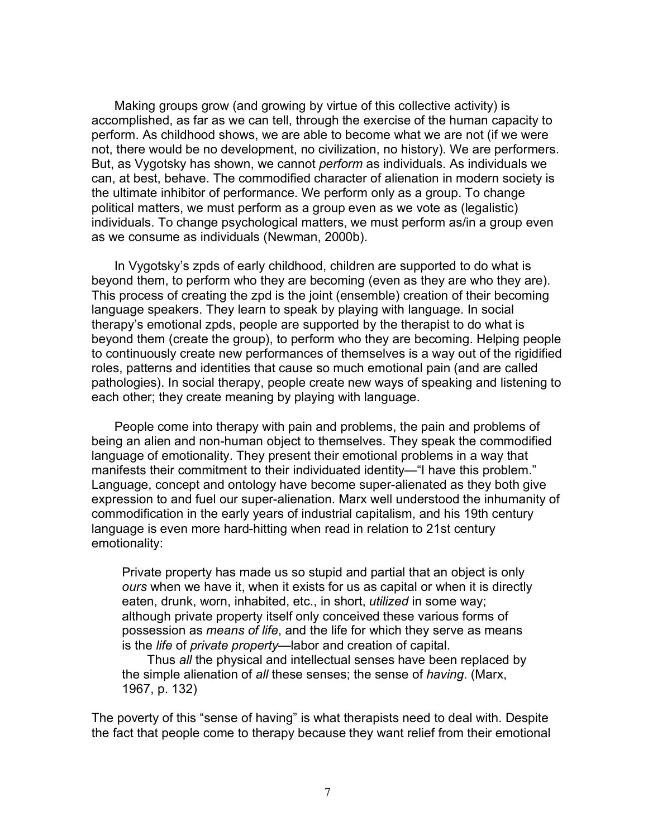Making groups grow (and growing by virtue of this collective activity) is accomplished, as far as we can tell, through the exercise of the human capacity to perform. As childhood shows, we are able to become what we are not (if we were not, there would be no development, no civilization, no history). We are performers. But, as Vygotsky has shown, we cannot *perform* as individuals. As individuals we can, at best, behave. The commodified character of alienation in modern society is the ultimate inhibitor of performance. We perform only as a group. To change political matters, we must perform as a group even as we vote as (legalistic) individuals. To change psychological matters, we must perform as/in a group even as we consume as individuals (Newman, 2000b).

In Vygotsky's zpds of early childhood, children are supported to do what is beyond them, to perform who they are becoming (even as they are who they are). This process of creating the zpd is the joint (ensemble) creation of their becoming language speakers. They learn to speak by playing with language. In social therapy's emotional zpds, people are supported by the therapist to do what is beyond them (create the group), to perform who they are becoming. Helping people to continuously create new performances of themselves is a way out of the rigidified roles, patterns and identities that cause so much emotional pain (and are called pathologies). In social therapy, people create new ways of speaking and listening to each other; they create meaning by playing with language.

People come into therapy with pain and problems, the pain and problems of being an alien and non-human object to themselves. They speak the commodified language of emotionality. They present their emotional problems in a way that manifests their commitment to their individuated identity—"I have this problem." Language, concept and ontology have become super-alienated as they both give expression to and fuel our super-alienation. Marx well understood the inhumanity of commodification in the early years of industrial capitalism, and his 19th century language is even more hard-hitting when read in relation to 21st century emotionality:

Private property has made us so stupid and partial that an object is only *ours* when we have it, when it exists for us as capital or when it is directly eaten, drunk, worn, inhabited, etc., in short, *utilized* in some way; although private property itself only conceived these various forms of possession as *means of life*, and the life for which they serve as means is the *life* of *private property*—labor and creation of capital.

Thus *all* the physical and intellectual senses have been replaced by the simple alienation of *all* these senses; the sense of *having*. (Marx, 1967, p. 132)

The poverty of this "sense of having" is what therapists need to deal with. Despite the fact that people come to therapy because they want relief from their emotional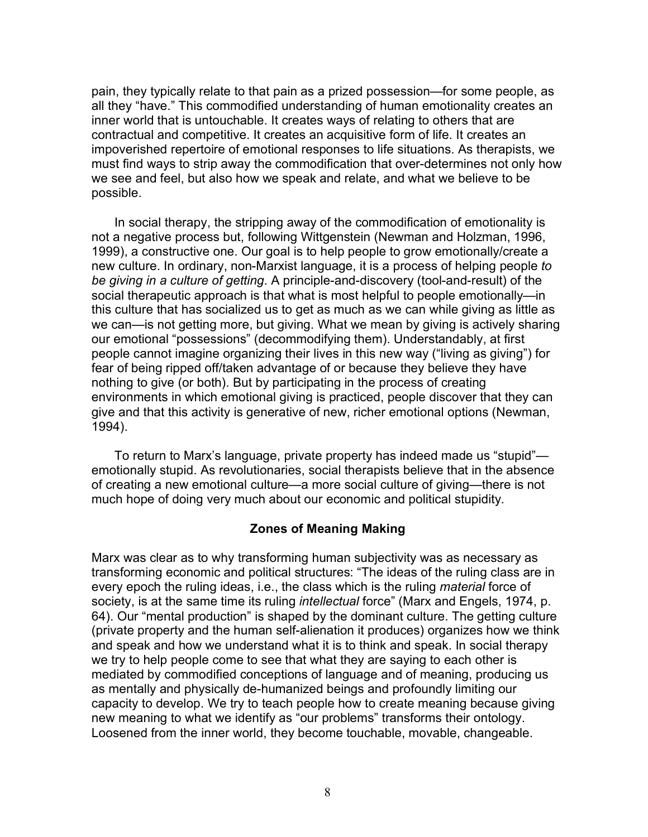pain, they typically relate to that pain as a prized possession—for some people, as all they "have." This commodified understanding of human emotionality creates an inner world that is untouchable. It creates ways of relating to others that are contractual and competitive. It creates an acquisitive form of life. It creates an impoverished repertoire of emotional responses to life situations. As therapists, we must find ways to strip away the commodification that over-determines not only how we see and feel, but also how we speak and relate, and what we believe to be possible.

In social therapy, the stripping away of the commodification of emotionality is not a negative process but, following Wittgenstein (Newman and Holzman, 1996, 1999), a constructive one. Our goal is to help people to grow emotionally/create a new culture. In ordinary, non-Marxist language, it is a process of helping people *to be giving in a culture of getting*. A principle-and-discovery (tool-and-result) of the social therapeutic approach is that what is most helpful to people emotionally—in this culture that has socialized us to get as much as we can while giving as little as we can—is not getting more, but giving. What we mean by giving is actively sharing our emotional "possessions" (decommodifying them). Understandably, at first people cannot imagine organizing their lives in this new way ("living as giving") for fear of being ripped off/taken advantage of or because they believe they have nothing to give (or both). But by participating in the process of creating environments in which emotional giving is practiced, people discover that they can give and that this activity is generative of new, richer emotional options (Newman, 1994).

To return to Marx's language, private property has indeed made us "stupid" emotionally stupid. As revolutionaries, social therapists believe that in the absence of creating a new emotional culture—a more social culture of giving—there is not much hope of doing very much about our economic and political stupidity.

#### **Zones of Meaning Making**

Marx was clear as to why transforming human subjectivity was as necessary as transforming economic and political structures: "The ideas of the ruling class are in every epoch the ruling ideas, i.e., the class which is the ruling *material* force of society, is at the same time its ruling *intellectual* force" (Marx and Engels, 1974, p. 64). Our "mental production" is shaped by the dominant culture. The getting culture (private property and the human self-alienation it produces) organizes how we think and speak and how we understand what it is to think and speak. In social therapy we try to help people come to see that what they are saying to each other is mediated by commodified conceptions of language and of meaning, producing us as mentally and physically de-humanized beings and profoundly limiting our capacity to develop. We try to teach people how to create meaning because giving new meaning to what we identify as "our problems" transforms their ontology. Loosened from the inner world, they become touchable, movable, changeable.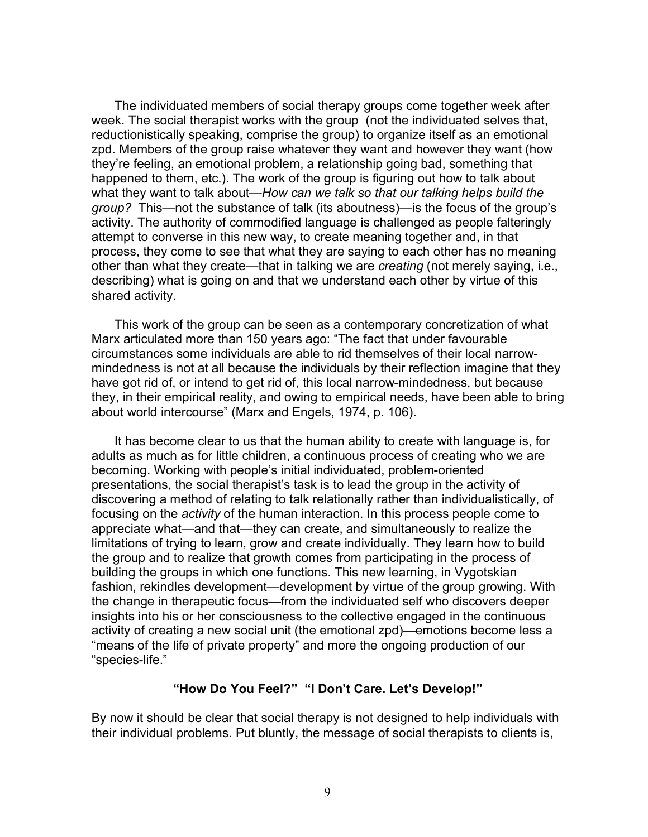The individuated members of social therapy groups come together week after week. The social therapist works with the group (not the individuated selves that, reductionistically speaking, comprise the group) to organize itself as an emotional zpd. Members of the group raise whatever they want and however they want (how they're feeling, an emotional problem, a relationship going bad, something that happened to them, etc.). The work of the group is figuring out how to talk about what they want to talk about—*How can we talk so that our talking helps build the group?* This—not the substance of talk (its aboutness)—is the focus of the group's activity. The authority of commodified language is challenged as people falteringly attempt to converse in this new way, to create meaning together and, in that process, they come to see that what they are saying to each other has no meaning other than what they create—that in talking we are *creating* (not merely saying, i.e., describing) what is going on and that we understand each other by virtue of this shared activity.

This work of the group can be seen as a contemporary concretization of what Marx articulated more than 150 years ago: "The fact that under favourable circumstances some individuals are able to rid themselves of their local narrowmindedness is not at all because the individuals by their reflection imagine that they have got rid of, or intend to get rid of, this local narrow-mindedness, but because they, in their empirical reality, and owing to empirical needs, have been able to bring about world intercourse" (Marx and Engels, 1974, p. 106).

It has become clear to us that the human ability to create with language is, for adults as much as for little children, a continuous process of creating who we are becoming. Working with people's initial individuated, problem-oriented presentations, the social therapist's task is to lead the group in the activity of discovering a method of relating to talk relationally rather than individualistically, of focusing on the *activity* of the human interaction. In this process people come to appreciate what—and that—they can create, and simultaneously to realize the limitations of trying to learn, grow and create individually. They learn how to build the group and to realize that growth comes from participating in the process of building the groups in which one functions. This new learning, in Vygotskian fashion, rekindles development—development by virtue of the group growing. With the change in therapeutic focus—from the individuated self who discovers deeper insights into his or her consciousness to the collective engaged in the continuous activity of creating a new social unit (the emotional zpd)—emotions become less a "means of the life of private property" and more the ongoing production of our "species-life."

# **"How Do You Feel?" "I Don't Care. Let's Develop!"**

By now it should be clear that social therapy is not designed to help individuals with their individual problems. Put bluntly, the message of social therapists to clients is,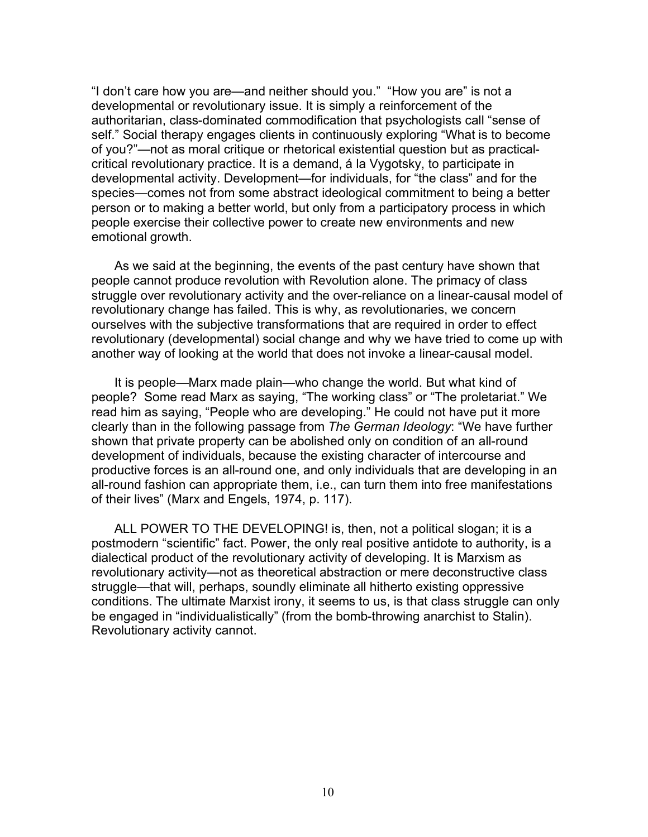"I don't care how you are—and neither should you." "How you are" is not a developmental or revolutionary issue. It is simply a reinforcement of the authoritarian, class-dominated commodification that psychologists call "sense of self." Social therapy engages clients in continuously exploring "What is to become of you?"—not as moral critique or rhetorical existential question but as practicalcritical revolutionary practice. It is a demand, á la Vygotsky, to participate in developmental activity. Development—for individuals, for "the class" and for the species—comes not from some abstract ideological commitment to being a better person or to making a better world, but only from a participatory process in which people exercise their collective power to create new environments and new emotional growth.

As we said at the beginning, the events of the past century have shown that people cannot produce revolution with Revolution alone. The primacy of class struggle over revolutionary activity and the over-reliance on a linear-causal model of revolutionary change has failed. This is why, as revolutionaries, we concern ourselves with the subjective transformations that are required in order to effect revolutionary (developmental) social change and why we have tried to come up with another way of looking at the world that does not invoke a linear-causal model.

It is people—Marx made plain—who change the world. But what kind of people? Some read Marx as saying, "The working class" or "The proletariat." We read him as saying, "People who are developing." He could not have put it more clearly than in the following passage from *The German Ideology*: "We have further shown that private property can be abolished only on condition of an all-round development of individuals, because the existing character of intercourse and productive forces is an all-round one, and only individuals that are developing in an all-round fashion can appropriate them, i.e., can turn them into free manifestations of their lives" (Marx and Engels, 1974, p. 117).

ALL POWER TO THE DEVELOPING! is, then, not a political slogan; it is a postmodern "scientific" fact. Power, the only real positive antidote to authority, is a dialectical product of the revolutionary activity of developing. It is Marxism as revolutionary activity—not as theoretical abstraction or mere deconstructive class struggle—that will, perhaps, soundly eliminate all hitherto existing oppressive conditions. The ultimate Marxist irony, it seems to us, is that class struggle can only be engaged in "individualistically" (from the bomb-throwing anarchist to Stalin). Revolutionary activity cannot.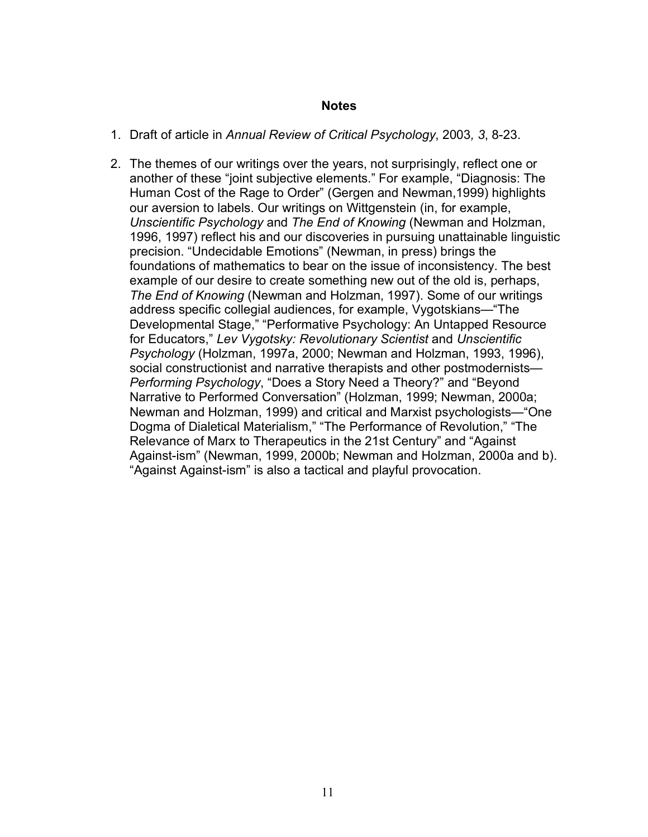#### **Notes**

- 1. Draft of article in *Annual Review of Critical Psychology*, 2003*, 3*, 8-23.
- 2. The themes of our writings over the years, not surprisingly, reflect one or another of these "joint subjective elements." For example, "Diagnosis: The Human Cost of the Rage to Order" (Gergen and Newman,1999) highlights our aversion to labels. Our writings on Wittgenstein (in, for example, *Unscientific Psychology* and *The End of Knowing* (Newman and Holzman, 1996, 1997) reflect his and our discoveries in pursuing unattainable linguistic precision. "Undecidable Emotions" (Newman, in press) brings the foundations of mathematics to bear on the issue of inconsistency. The best example of our desire to create something new out of the old is, perhaps, *The End of Knowing* (Newman and Holzman, 1997). Some of our writings address specific collegial audiences, for example, Vygotskians—"The Developmental Stage," "Performative Psychology: An Untapped Resource for Educators," *Lev Vygotsky: Revolutionary Scientist* and *Unscientific Psychology* (Holzman, 1997a, 2000; Newman and Holzman, 1993, 1996), social constructionist and narrative therapists and other postmodernists— *Performing Psychology*, "Does a Story Need a Theory?" and "Beyond Narrative to Performed Conversation" (Holzman, 1999; Newman, 2000a; Newman and Holzman, 1999) and critical and Marxist psychologists—"One Dogma of Dialetical Materialism," "The Performance of Revolution," "The Relevance of Marx to Therapeutics in the 21st Century" and "Against Against-ism" (Newman, 1999, 2000b; Newman and Holzman, 2000a and b). "Against Against-ism" is also a tactical and playful provocation.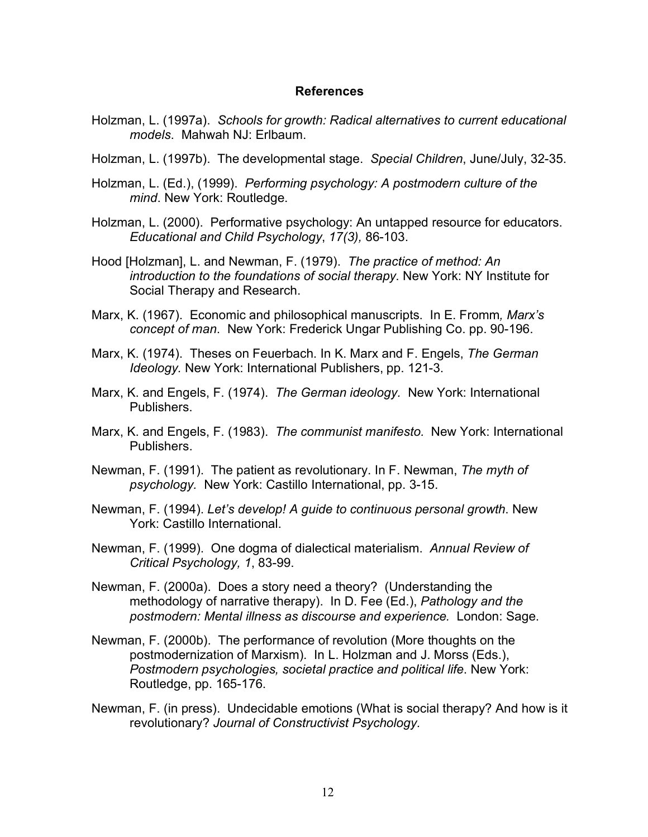#### **References**

- Holzman, L. (1997a). *Schools for growth: Radical alternatives to current educational models*. Mahwah NJ: Erlbaum.
- Holzman, L. (1997b). The developmental stage. *Special Children*, June/July, 32-35.
- Holzman, L. (Ed.), (1999). *Performing psychology: A postmodern culture of the mind*. New York: Routledge.
- Holzman, L. (2000). Performative psychology: An untapped resource for educators. *Educational and Child Psychology*, *17(3),* 86-103.
- Hood [Holzman], L. and Newman, F. (1979). *The practice of method: An introduction to the foundations of social therapy*. New York: NY Institute for Social Therapy and Research.
- Marx, K. (1967). Economic and philosophical manuscripts. In E. Fromm*, Marx's concept of man*. New York: Frederick Ungar Publishing Co. pp. 90-196.
- Marx, K. (1974). Theses on Feuerbach. In K. Marx and F. Engels, *The German Ideology.* New York: International Publishers, pp. 121-3.
- Marx, K. and Engels, F. (1974). *The German ideology.* New York: International Publishers.
- Marx, K. and Engels, F. (1983). *The communist manifesto.* New York: International Publishers.
- Newman, F. (1991). The patient as revolutionary. In F. Newman, *The myth of psychology.* New York: Castillo International, pp. 3-15.
- Newman, F. (1994). *Let's develop! A guide to continuous personal growth*. New York: Castillo International.
- Newman, F. (1999). One dogma of dialectical materialism. *Annual Review of Critical Psychology, 1*, 83-99.
- Newman, F. (2000a). Does a story need a theory? (Understanding the methodology of narrative therapy). In D. Fee (Ed.), *Pathology and the postmodern: Mental illness as discourse and experience.* London: Sage.
- Newman, F. (2000b). The performance of revolution (More thoughts on the postmodernization of Marxism). In L. Holzman and J. Morss (Eds.), *Postmodern psychologies, societal practice and political life*. New York: Routledge, pp. 165-176.
- Newman, F. (in press). Undecidable emotions (What is social therapy? And how is it revolutionary? *Journal of Constructivist Psychology.*